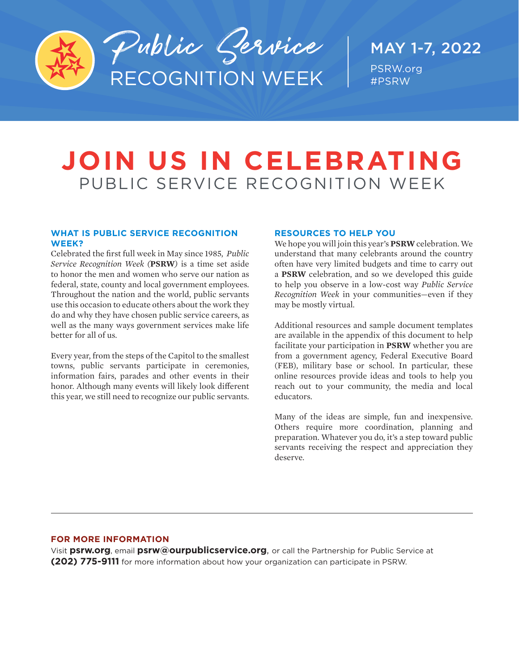

### MAY 1-7, 2022 PSRW.org #PSRW

# **JOIN US IN CELEBRATING** PUBLIC SERVICE RECOGNITION WEEK

### **WHAT IS PUBLIC SERVICE RECOGNITION WEEK?**

Celebrated the first full week in May since 1985, *Public Service Recognition Week (***PSRW***)* is a time set aside to honor the men and women who serve our nation as federal, state, county and local government employees. Throughout the nation and the world, public servants use this occasion to educate others about the work they do and why they have chosen public service careers, as well as the many ways government services make life better for all of us.

Every year, from the steps of the Capitol to the smallest towns, public servants participate in ceremonies, information fairs, parades and other events in their honor. Although many events will likely look different this year, we still need to recognize our public servants.

### **RESOURCES TO HELP YOU**

We hope you will join this year's **PSRW** celebration. We understand that many celebrants around the country often have very limited budgets and time to carry out a **PSRW** celebration, and so we developed this guide to help you observe in a low-cost way *Public Service Recognition Week* in your communities—even if they may be mostly virtual.

Additional resources and sample document templates are available in the appendix of this document to help facilitate your participation in **PSRW** whether you are from a government agency, Federal Executive Board (FEB), military base or school. In particular, these online resources provide ideas and tools to help you reach out to your community, the media and local educators.

Many of the ideas are simple, fun and inexpensive. Others require more coordination, planning and preparation. Whatever you do, it's a step toward public servants receiving the respect and appreciation they deserve.

### **FOR MORE INFORMATION**

Visit **psrw.org**, email **[psrw@ourpublicservice.org](mailto:psrw%40ourpublicservice.org?subject=)**, or call the Partnership for Public Service at **(202) 775-9111** for more information about how your organization can participate in PSRW.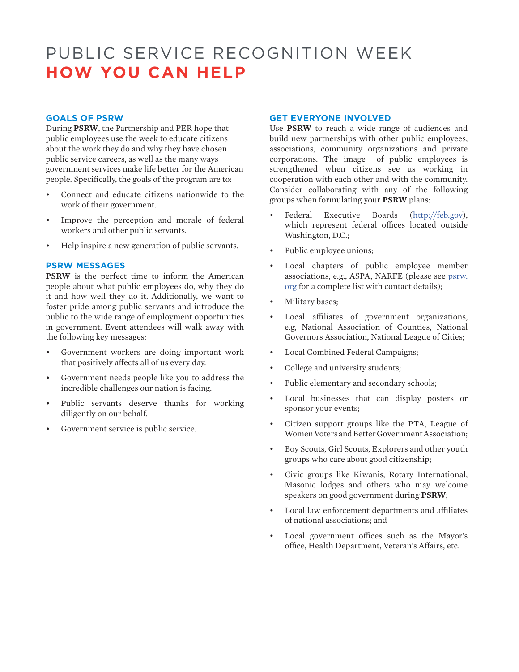### PUBLIC SERVICE RECOGNITION WEEK **HOW YOU CAN HELP**

### **GOALS OF PSRW**

During **PSRW**, the Partnership and PER hope that public employees use the week to educate citizens about the work they do and why they have chosen public service careers, as well as the many ways government services make life better for the American people. Specifically, the goals of the program are to:

- Connect and educate citizens nationwide to the work of their government.
- Improve the perception and morale of federal workers and other public servants.
- Help inspire a new generation of public servants.

### **PSRW MESSAGES**

**PSRW** is the perfect time to inform the American people about what public employees do, why they do it and how well they do it. Additionally, we want to foster pride among public servants and introduce the public to the wide range of employment opportunities in government. Event attendees will walk away with the following key messages:

- Government workers are doing important work that positively affects all of us every day.
- Government needs people like you to address the incredible challenges our nation is facing.
- Public servants deserve thanks for working diligently on our behalf.
- Government service is public service.

### **GET EVERYONE INVOLVED**

Use **PSRW** to reach a wide range of audiences and build new partnerships with other public employees, associations, community organizations and private corporations. The image of public employees is strengthened when citizens see us working in cooperation with each other and with the community. Consider collaborating with any of the following groups when formulating your **PSRW** plans:

- Federal Executive Boards [\(http://feb.gov](mailto:https://feb.gov/?subject=)), which represent federal offices located outside Washington, D.C.;
- Public employee unions;
- Local chapters of public employee member associations, e.g., ASPA, NARFE (please see [psrw.](mailto:psrw.org?subject=) [org](mailto:psrw.org?subject=) for a complete list with contact details);
- Military bases;
- Local affiliates of government organizations, e.g, National Association of Counties, National Governors Association, National League of Cities;
- Local Combined Federal Campaigns;
- College and university students;
- Public elementary and secondary schools;
- Local businesses that can display posters or sponsor your events;
- Citizen support groups like the PTA, League of Women Voters and Better Government Association;
- Boy Scouts, Girl Scouts, Explorers and other youth groups who care about good citizenship;
- Civic groups like Kiwanis, Rotary International, Masonic lodges and others who may welcome speakers on good government during **PSRW**;
- Local law enforcement departments and affiliates of national associations; and
- Local government offices such as the Mayor's office, Health Department, Veteran's Affairs, etc.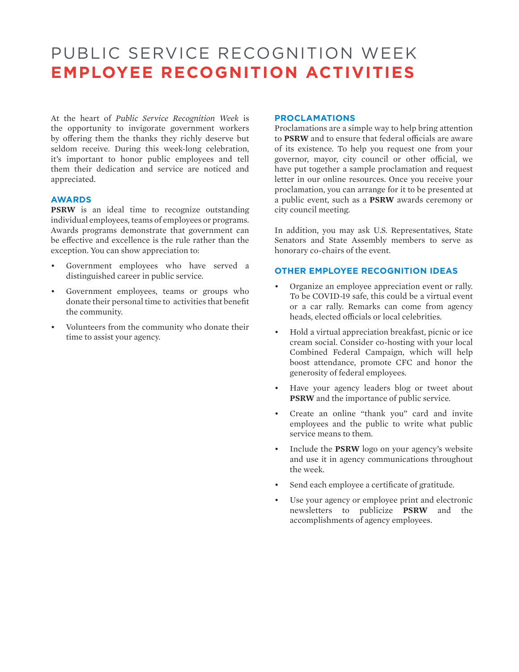### PUBLIC SERVICE RECOGNITION WEEK **EMPLOYEE RECOGNITION ACTIVITIES**

At the heart of *Public Service Recognition Week* is the opportunity to invigorate government workers by offering them the thanks they richly deserve but seldom receive. During this week-long celebration, it's important to honor public employees and tell them their dedication and service are noticed and appreciated.

### **AWARDS**

**PSRW** is an ideal time to recognize outstanding individual employees, teams of employees or programs. Awards programs demonstrate that government can be effective and excellence is the rule rather than the exception. You can show appreciation to:

- Government employees who have served a distinguished career in public service.
- Government employees, teams or groups who donate their personal time to activities that benefit the community.
- Volunteers from the community who donate their time to assist your agency.

### **PROCLAMATIONS**

Proclamations are a simple way to help bring attention to **PSRW** and to ensure that federal officials are aware of its existence. To help you request one from your governor, mayor, city council or other official, we have put together a sample proclamation and request letter in our online resources. Once you receive your proclamation, you can arrange for it to be presented at a public event, such as a **PSRW** awards ceremony or city council meeting.

In addition, you may ask U.S. Representatives, State Senators and State Assembly members to serve as honorary co-chairs of the event.

### **OTHER EMPLOYEE RECOGNITION IDEAS**

- Organize an employee appreciation event or rally. To be COVID-19 safe, this could be a virtual event or a car rally. Remarks can come from agency heads, elected officials or local celebrities.
- Hold a virtual appreciation breakfast, picnic or ice cream social. Consider co-hosting with your local Combined Federal Campaign, which will help boost attendance, promote CFC and honor the generosity of federal employees.
- Have your agency leaders blog or tweet about **PSRW** and the importance of public service.
- Create an online "thank you" card and invite employees and the public to write what public service means to them.
- Include the **PSRW** logo on your agency's website and use it in agency communications throughout the week.
- Send each employee a certificate of gratitude.
- Use your agency or employee print and electronic newsletters to publicize **PSRW** and the accomplishments of agency employees.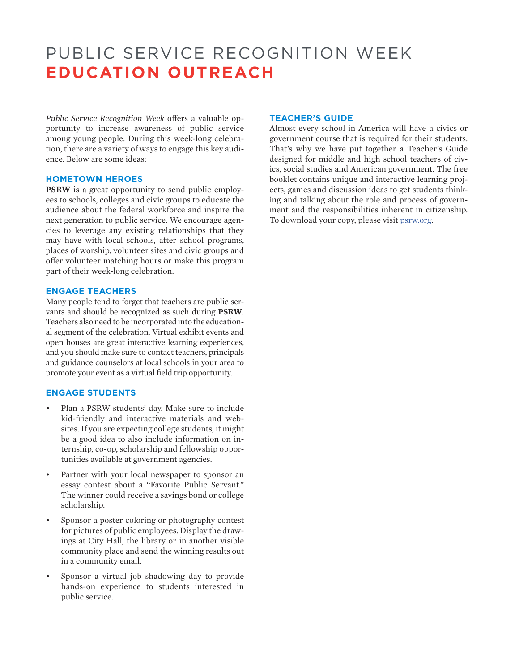### PUBLIC SERVICE RECOGNITION WEEK **EDUCATION OUTREACH**

*Public Service Recognition Week* offers a valuable opportunity to increase awareness of public service among young people. During this week-long celebration, there are a variety of ways to engage this key audience. Below are some ideas:

### **HOMETOWN HEROES**

**PSRW** is a great opportunity to send public employees to schools, colleges and civic groups to educate the audience about the federal workforce and inspire the next generation to public service. We encourage agencies to leverage any existing relationships that they may have with local schools, after school programs, places of worship, volunteer sites and civic groups and offer volunteer matching hours or make this program part of their week-long celebration.

### **ENGAGE TEACHERS**

Many people tend to forget that teachers are public servants and should be recognized as such during **PSRW**. Teachers also need to be incorporated into the educational segment of the celebration. Virtual exhibit events and open houses are great interactive learning experiences, and you should make sure to contact teachers, principals and guidance counselors at local schools in your area to promote your event as a virtual field trip opportunity.

### **ENGAGE STUDENTS**

- Plan a PSRW students' day. Make sure to include kid-friendly and interactive materials and websites. If you are expecting college students, it might be a good idea to also include information on internship, co-op, scholarship and fellowship opportunities available at government agencies.
- Partner with your local newspaper to sponsor an essay contest about a "Favorite Public Servant." The winner could receive a savings bond or college scholarship.
- Sponsor a poster coloring or photography contest for pictures of public employees. Display the drawings at City Hall, the library or in another visible community place and send the winning results out in a community email.
- Sponsor a virtual job shadowing day to provide hands-on experience to students interested in public service.

#### **TEACHER'S GUIDE**

Almost every school in America will have a civics or government course that is required for their students. That's why we have put together a Teacher's Guide designed for middle and high school teachers of civics, social studies and American government. The free booklet contains unique and interactive learning projects, games and discussion ideas to get students thinking and talking about the role and process of government and the responsibilities inherent in citizenship. To download your copy, please visit [psrw.org](mailto:psrw.org?subject=).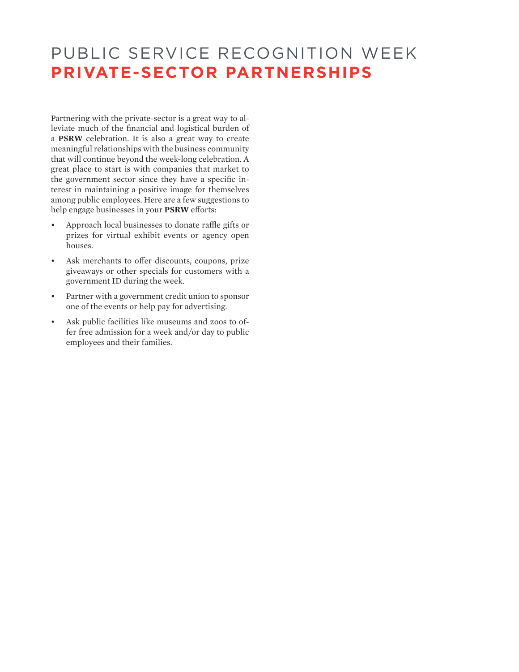### PUBLIC SERVICE RECOGNITION WEEK **PRIVATE-SECTOR PARTNERSHIPS**

Partnering with the private-sector is a great way to alleviate much of the financial and logistical burden of a **PSRW** celebration. It is also a great way to create meaningful relationships with the business community that will continue beyond the week-long celebration. A great place to start is with companies that market to the government sector since they have a specific interest in maintaining a positive image for themselves among public employees. Here are a few suggestions to help engage businesses in your **PSRW** efforts:

- Approach local businesses to donate raffle gifts or prizes for virtual exhibit events or agency open houses.
- Ask merchants to offer discounts, coupons, prize giveaways or other specials for customers with a government ID during the week.
- Partner with a government credit union to sponsor one of the events or help pay for advertising.
- Ask public facilities like museums and zoos to offer free admission for a week and/or day to public employees and their families.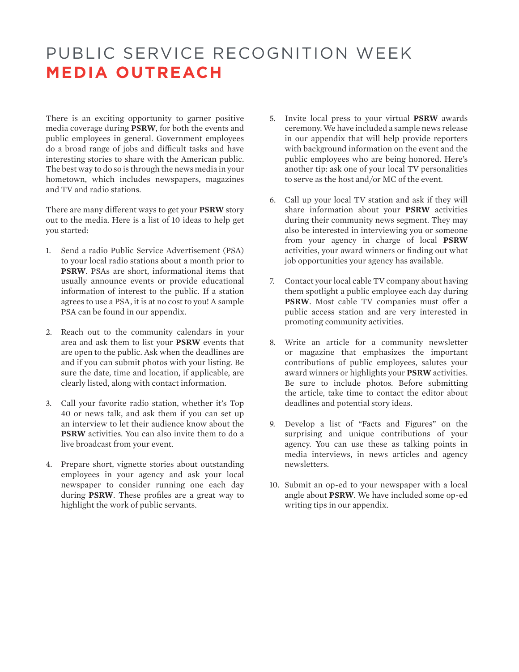## PUBLIC SERVICE RECOGNITION WEEK **MEDIA OUTREACH**

There is an exciting opportunity to garner positive media coverage during **PSRW**, for both the events and public employees in general. Government employees do a broad range of jobs and difficult tasks and have interesting stories to share with the American public. The best way to do so is through the news media in your hometown, which includes newspapers, magazines and TV and radio stations.

There are many different ways to get your **PSRW** story out to the media. Here is a list of 10 ideas to help get you started:

- 1. Send a radio Public Service Advertisement (PSA) to your local radio stations about a month prior to **PSRW**. PSAs are short, informational items that usually announce events or provide educational information of interest to the public. If a station agrees to use a PSA, it is at no cost to you! A sample PSA can be found in our appendix.
- 2. Reach out to the community calendars in your area and ask them to list your **PSRW** events that are open to the public. Ask when the deadlines are and if you can submit photos with your listing. Be sure the date, time and location, if applicable, are clearly listed, along with contact information.
- 3. Call your favorite radio station, whether it's Top 40 or news talk, and ask them if you can set up an interview to let their audience know about the **PSRW** activities. You can also invite them to do a live broadcast from your event.
- 4. Prepare short, vignette stories about outstanding employees in your agency and ask your local newspaper to consider running one each day during **PSRW**. These profiles are a great way to highlight the work of public servants.
- 5. Invite local press to your virtual **PSRW** awards ceremony. We have included a sample news release in our appendix that will help provide reporters with background information on the event and the public employees who are being honored. Here's another tip: ask one of your local TV personalities to serve as the host and/or MC of the event.
- 6. Call up your local TV station and ask if they will share information about your **PSRW** activities during their community news segment. They may also be interested in interviewing you or someone from your agency in charge of local **PSRW** activities, your award winners or finding out what job opportunities your agency has available.
- 7. Contact your local cable TV company about having them spotlight a public employee each day during **PSRW**. Most cable TV companies must offer a public access station and are very interested in promoting community activities.
- 8. Write an article for a community newsletter or magazine that emphasizes the important contributions of public employees, salutes your award winners or highlights your **PSRW** activities. Be sure to include photos. Before submitting the article, take time to contact the editor about deadlines and potential story ideas.
- 9. Develop a list of "Facts and Figures" on the surprising and unique contributions of your agency. You can use these as talking points in media interviews, in news articles and agency newsletters.
- 10. Submit an op-ed to your newspaper with a local angle about **PSRW**. We have included some op-ed writing tips in our appendix.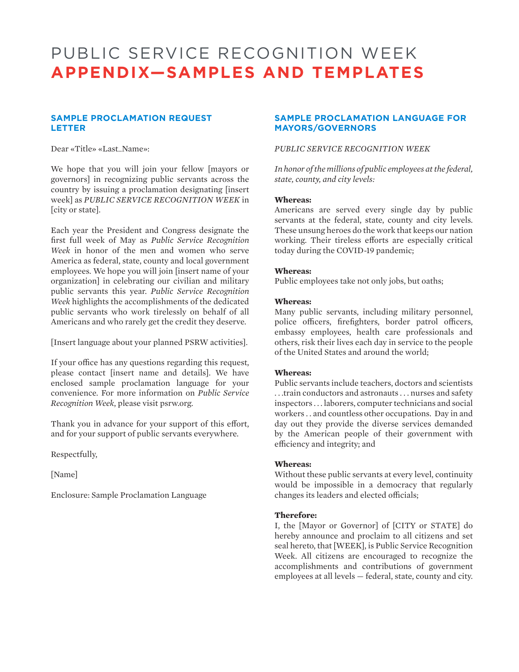### PUBLIC SERVICE RECOGNITION WEEK **APPENDIX—SAMPLES AND TEMPLATES**

### **SAMPLE PROCLAMATION REQUEST LETTER**

Dear «Title» «Last\_Name»:

We hope that you will join your fellow [mayors or governors] in recognizing public servants across the country by issuing a proclamation designating [insert week] as *PUBLIC SERVICE RECOGNITION WEEK* in [city or state].

Each year the President and Congress designate the first full week of May as *Public Service Recognition Week* in honor of the men and women who serve America as federal, state, county and local government employees. We hope you will join [insert name of your organization] in celebrating our civilian and military public servants this year. *Public Service Recognition Week* highlights the accomplishments of the dedicated public servants who work tirelessly on behalf of all Americans and who rarely get the credit they deserve.

[Insert language about your planned PSRW activities].

If your office has any questions regarding this request, please contact [insert name and details]. We have enclosed sample proclamation language for your convenience. For more information on *Public Service Recognition Week*, please visit psrw.org.

Thank you in advance for your support of this effort, and for your support of public servants everywhere.

Respectfully,

[Name]

Enclosure: Sample Proclamation Language

### **SAMPLE PROCLAMATION LANGUAGE FOR MAYORS/GOVERNORS**

### *PUBLIC SERVICE RECOGNITION WEEK*

*In honor of the millions of public employees at the federal, state, county, and city levels:*

#### **Whereas:**

Americans are served every single day by public servants at the federal, state, county and city levels. These unsung heroes do the work that keeps our nation working. Their tireless efforts are especially critical today during the COVID-19 pandemic;

### **Whereas:**

Public employees take not only jobs, but oaths;

### **Whereas:**

Many public servants, including military personnel, police officers, firefighters, border patrol officers, embassy employees, health care professionals and others, risk their lives each day in service to the people of the United States and around the world;

#### **Whereas:**

Public servants include teachers, doctors and scientists . . .train conductors and astronauts . . . nurses and safety inspectors . . . laborers, computer technicians and social workers . . and countless other occupations. Day in and day out they provide the diverse services demanded by the American people of their government with efficiency and integrity; and

### **Whereas:**

Without these public servants at every level, continuity would be impossible in a democracy that regularly changes its leaders and elected officials;

#### **Therefore:**

I, the [Mayor or Governor] of [CITY or STATE] do hereby announce and proclaim to all citizens and set seal hereto, that [WEEK], is Public Service Recognition Week. All citizens are encouraged to recognize the accomplishments and contributions of government employees at all levels — federal, state, county and city.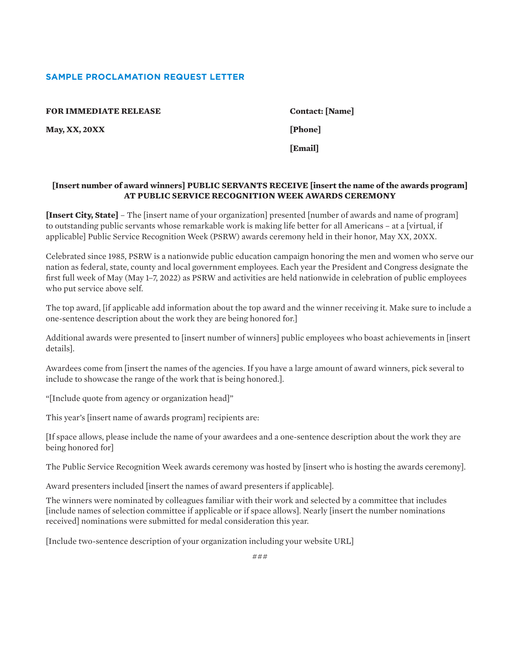### **SAMPLE PROCLAMATION REQUEST LETTER**

**FOR IMMEDIATE RELEASE Contact: [Name]** 

**May, XX, 20XX [Phone]**

**[Email]**

### **[Insert number of award winners] PUBLIC SERVANTS RECEIVE [insert the name of the awards program] AT PUBLIC SERVICE RECOGNITION WEEK AWARDS CEREMONY**

**[Insert City, State]** – The [insert name of your organization] presented [number of awards and name of program] to outstanding public servants whose remarkable work is making life better for all Americans – at a [virtual, if applicable] Public Service Recognition Week (PSRW) awards ceremony held in their honor, May XX, 20XX.

Celebrated since 1985, PSRW is a nationwide public education campaign honoring the men and women who serve our nation as federal, state, county and local government employees. Each year the President and Congress designate the first full week of May (May 1–7, 2022) as PSRW and activities are held nationwide in celebration of public employees who put service above self.

The top award, [if applicable add information about the top award and the winner receiving it. Make sure to include a one-sentence description about the work they are being honored for.]

Additional awards were presented to [insert number of winners] public employees who boast achievements in [insert details].

Awardees come from [insert the names of the agencies. If you have a large amount of award winners, pick several to include to showcase the range of the work that is being honored.].

"[Include quote from agency or organization head]"

This year's [insert name of awards program] recipients are:

[If space allows, please include the name of your awardees and a one-sentence description about the work they are being honored for]

The Public Service Recognition Week awards ceremony was hosted by [insert who is hosting the awards ceremony].

Award presenters included [insert the names of award presenters if applicable].

The winners were nominated by colleagues familiar with their work and selected by a committee that includes [include names of selection committee if applicable or if space allows]. Nearly [insert the number nominations received] nominations were submitted for medal consideration this year.

[Include two-sentence description of your organization including your website URL]